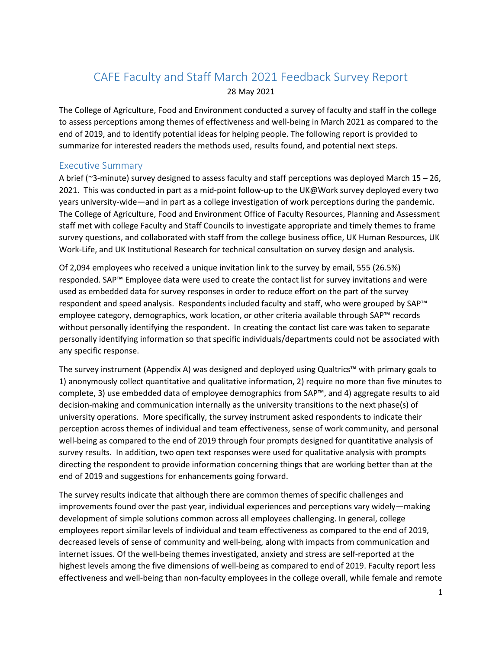# CAFE Faculty and Staff March 2021 Feedback Survey Report 28 May 2021

The College of Agriculture, Food and Environment conducted a survey of faculty and staff in the college to assess perceptions among themes of effectiveness and well-being in March 2021 as compared to the end of 2019, and to identify potential ideas for helping people. The following report is provided to summarize for interested readers the methods used, results found, and potential next steps.

### Executive Summary

A brief (~3-minute) survey designed to assess faculty and staff perceptions was deployed March 15 – 26, 2021. This was conducted in part as a mid-point follow-up to the UK@Work survey deployed every two years university-wide—and in part as a college investigation of work perceptions during the pandemic. The College of Agriculture, Food and Environment Office of Faculty Resources, Planning and Assessment staff met with college Faculty and Staff Councils to investigate appropriate and timely themes to frame survey questions, and collaborated with staff from the college business office, UK Human Resources, UK Work-Life, and UK Institutional Research for technical consultation on survey design and analysis.

Of 2,094 employees who received a unique invitation link to the survey by email, 555 (26.5%) responded. SAP™ Employee data were used to create the contact list for survey invitations and were used as embedded data for survey responses in order to reduce effort on the part of the survey respondent and speed analysis. Respondents included faculty and staff, who were grouped by SAP™ employee category, demographics, work location, or other criteria available through SAP™ records without personally identifying the respondent. In creating the contact list care was taken to separate personally identifying information so that specific individuals/departments could not be associated with any specific response.

The survey instrument (Appendix A) was designed and deployed using Qualtrics™ with primary goals to 1) anonymously collect quantitative and qualitative information, 2) require no more than five minutes to complete, 3) use embedded data of employee demographics from SAP™, and 4) aggregate results to aid decision-making and communication internally as the university transitions to the next phase(s) of university operations. More specifically, the survey instrument asked respondents to indicate their perception across themes of individual and team effectiveness, sense of work community, and personal well-being as compared to the end of 2019 through four prompts designed for quantitative analysis of survey results. In addition, two open text responses were used for qualitative analysis with prompts directing the respondent to provide information concerning things that are working better than at the end of 2019 and suggestions for enhancements going forward.

The survey results indicate that although there are common themes of specific challenges and improvements found over the past year, individual experiences and perceptions vary widely—making development of simple solutions common across all employees challenging. In general, college employees report similar levels of individual and team effectiveness as compared to the end of 2019, decreased levels of sense of community and well-being, along with impacts from communication and internet issues. Of the well-being themes investigated, anxiety and stress are self-reported at the highest levels among the five dimensions of well-being as compared to end of 2019. Faculty report less effectiveness and well-being than non-faculty employees in the college overall, while female and remote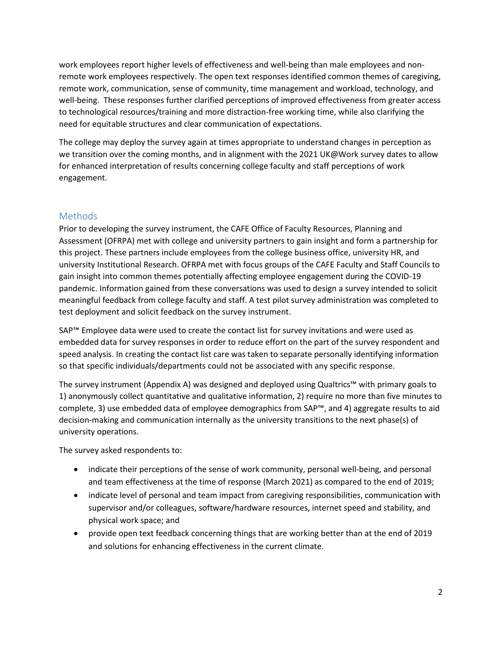work employees report higher levels of effectiveness and well-being than male employees and nonremote work employees respectively. The open text responses identified common themes of caregiving, remote work, communication, sense of community, time management and workload, technology, and well-being. These responses further clarified perceptions of improved effectiveness from greater access to technological resources/training and more distraction-free working time, while also clarifying the need for equitable structures and clear communication of expectations.

The college may deploy the survey again at times appropriate to understand changes in perception as we transition over the coming months, and in alignment with the 2021 UK@Work survey dates to allow for enhanced interpretation of results concerning college faculty and staff perceptions of work engagement.

## **Methods**

Prior to developing the survey instrument, the CAFE Office of Faculty Resources, Planning and Assessment (OFRPA) met with college and university partners to gain insight and form a partnership for this project. These partners include employees from the college business office, university HR, and university Institutional Research. OFRPA met with focus groups of the CAFE Faculty and Staff Councils to gain insight into common themes potentially affecting employee engagement during the COVID-19 pandemic. Information gained from these conversations was used to design a survey intended to solicit meaningful feedback from college faculty and staff. A test pilot survey administration was completed to test deployment and solicit feedback on the survey instrument.

SAP™ Employee data were used to create the contact list for survey invitations and were used as embedded data for survey responses in order to reduce effort on the part of the survey respondent and speed analysis. In creating the contact list care was taken to separate personally identifying information so that specific individuals/departments could not be associated with any specific response.

The survey instrument (Appendix A) was designed and deployed using Qualtrics™ with primary goals to 1) anonymously collect quantitative and qualitative information, 2) require no more than five minutes to complete, 3) use embedded data of employee demographics from SAP™, and 4) aggregate results to aid decision-making and communication internally as the university transitions to the next phase(s) of university operations.

The survey asked respondents to:

- indicate their perceptions of the sense of work community, personal well-being, and personal and team effectiveness at the time of response (March 2021) as compared to the end of 2019;
- indicate level of personal and team impact from caregiving responsibilities, communication with supervisor and/or colleagues, software/hardware resources, internet speed and stability, and physical work space; and
- provide open text feedback concerning things that are working better than at the end of 2019 and solutions for enhancing effectiveness in the current climate.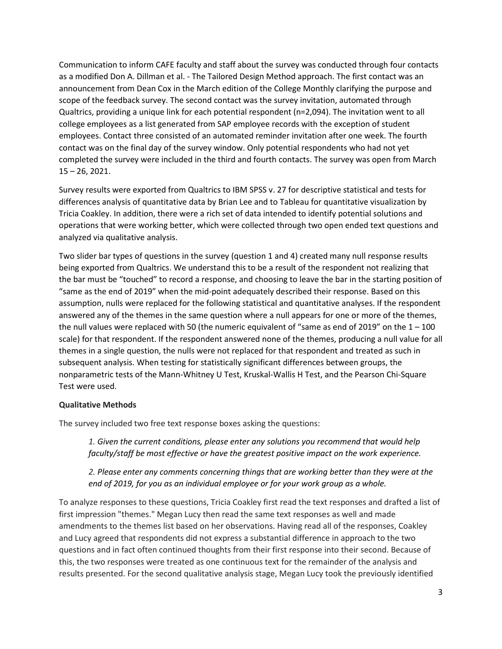Communication to inform CAFE faculty and staff about the survey was conducted through four contacts as a modified Don A. Dillman et al. - The Tailored Design Method approach. The first contact was an announcement from Dean Cox in the March edition of the College Monthly clarifying the purpose and scope of the feedback survey. The second contact was the survey invitation, automated through Qualtrics, providing a unique link for each potential respondent (n=2,094). The invitation went to all college employees as a list generated from SAP employee records with the exception of student employees. Contact three consisted of an automated reminder invitation after one week. The fourth contact was on the final day of the survey window. Only potential respondents who had not yet completed the survey were included in the third and fourth contacts. The survey was open from March 15 – 26, 2021.

Survey results were exported from Qualtrics to IBM SPSS v. 27 for descriptive statistical and tests for differences analysis of quantitative data by Brian Lee and to Tableau for quantitative visualization by Tricia Coakley. In addition, there were a rich set of data intended to identify potential solutions and operations that were working better, which were collected through two open ended text questions and analyzed via qualitative analysis.

Two slider bar types of questions in the survey (question 1 and 4) created many null response results being exported from Qualtrics. We understand this to be a result of the respondent not realizing that the bar must be "touched" to record a response, and choosing to leave the bar in the starting position of "same as the end of 2019" when the mid-point adequately described their response. Based on this assumption, nulls were replaced for the following statistical and quantitative analyses. If the respondent answered any of the themes in the same question where a null appears for one or more of the themes, the null values were replaced with 50 (the numeric equivalent of "same as end of 2019" on the  $1 - 100$ scale) for that respondent. If the respondent answered none of the themes, producing a null value for all themes in a single question, the nulls were not replaced for that respondent and treated as such in subsequent analysis. When testing for statistically significant differences between groups, the nonparametric tests of the Mann-Whitney U Test, Kruskal-Wallis H Test, and the Pearson Chi-Square Test were used.

### **Qualitative Methods**

The survey included two free text response boxes asking the questions:

*1. Given the current conditions, please enter any solutions you recommend that would help faculty/staff be most effective or have the greatest positive impact on the work experience.*

*2. Please enter any comments concerning things that are working better than they were at the end of 2019, for you as an individual employee or for your work group as a whole.*

To analyze responses to these questions, Tricia Coakley first read the text responses and drafted a list of first impression "themes." Megan Lucy then read the same text responses as well and made amendments to the themes list based on her observations. Having read all of the responses, Coakley and Lucy agreed that respondents did not express a substantial difference in approach to the two questions and in fact often continued thoughts from their first response into their second. Because of this, the two responses were treated as one continuous text for the remainder of the analysis and results presented. For the second qualitative analysis stage, Megan Lucy took the previously identified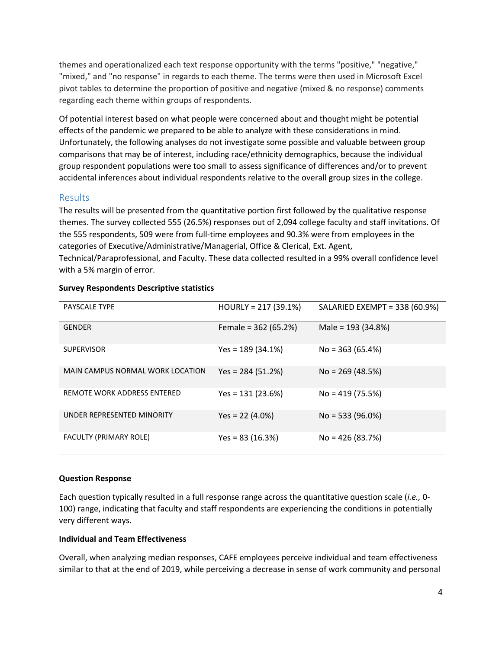themes and operationalized each text response opportunity with the terms "positive," "negative," "mixed," and "no response" in regards to each theme. The terms were then used in Microsoft Excel pivot tables to determine the proportion of positive and negative (mixed & no response) comments regarding each theme within groups of respondents.

Of potential interest based on what people were concerned about and thought might be potential effects of the pandemic we prepared to be able to analyze with these considerations in mind. Unfortunately, the following analyses do not investigate some possible and valuable between group comparisons that may be of interest, including race/ethnicity demographics, because the individual group respondent populations were too small to assess significance of differences and/or to prevent accidental inferences about individual respondents relative to the overall group sizes in the college.

### Results

The results will be presented from the quantitative portion first followed by the qualitative response themes. The survey collected 555 (26.5%) responses out of 2,094 college faculty and staff invitations. Of the 555 respondents, 509 were from full-time employees and 90.3% were from employees in the categories of Executive/Administrative/Managerial, Office & Clerical, Ext. Agent, Technical/Paraprofessional, and Faculty. These data collected resulted in a 99% overall confidence level with a 5% margin of error.

| <b>PAYSCALE TYPE</b>             | $HOURLY = 217 (39.1%)$ | SALARIED EXEMPT = 338 (60.9%) |
|----------------------------------|------------------------|-------------------------------|
| <b>GENDER</b>                    | Female = $362(65.2%)$  | Male = $193(34.8%)$           |
| <b>SUPERVISOR</b>                | $Yes = 189(34.1%)$     | $No = 363 (65.4%)$            |
| MAIN CAMPUS NORMAL WORK LOCATION | Yes = $284(51.2%)$     | $No = 269 (48.5%)$            |
| REMOTE WORK ADDRESS ENTERED      | $Yes = 131 (23.6%)$    | $No = 419(75.5%)$             |
| UNDER REPRESENTED MINORITY       | $Yes = 22 (4.0%)$      | $No = 533 (96.0%)$            |
| FACULTY (PRIMARY ROLE)           | Yes = 83 $(16.3%)$     | $No = 426 (83.7%)$            |

### **Survey Respondents Descriptive statistics**

### **Question Response**

Each question typically resulted in a full response range across the quantitative question scale (*i.e.,* 0- 100) range, indicating that faculty and staff respondents are experiencing the conditions in potentially very different ways.

### **Individual and Team Effectiveness**

Overall, when analyzing median responses, CAFE employees perceive individual and team effectiveness similar to that at the end of 2019, while perceiving a decrease in sense of work community and personal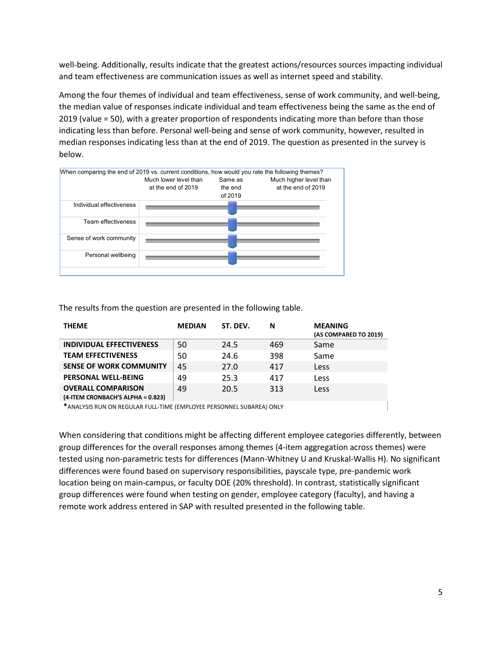well-being. Additionally, results indicate that the greatest actions/resources sources impacting individual and team effectiveness are communication issues as well as internet speed and stability.

Among the four themes of individual and team effectiveness, sense of work community, and well-being, the median value of responses indicate individual and team effectiveness being the same as the end of 2019 (value = 50), with a greater proportion of respondents indicating more than before than those indicating less than before. Personal well-being and sense of work community, however, resulted in median responses indicating less than at the end of 2019. The question as presented in the survey is below.



The results from the question are presented in the following table.

| <b>THEME</b>                                                   | <b>MEDIAN</b> | ST. DEV. | N   | <b>MEANING</b><br>(AS COMPARED TO 2019) |
|----------------------------------------------------------------|---------------|----------|-----|-----------------------------------------|
| <b>INDIVIDUAL EFFECTIVENESS</b>                                | 50            | 24.5     | 469 | Same                                    |
| <b>TEAM EFFECTIVENESS</b>                                      | 50            | 24.6     | 398 | Same                                    |
| <b>SENSE OF WORK COMMUNITY</b>                                 | 45            | 27.0     | 417 | Less                                    |
| <b>PERSONAL WELL-BEING</b>                                     | 49            | 25.3     | 417 | Less                                    |
| <b>OVERALL COMPARISON</b><br>(4-ITEM CRONBACH'S ALPHA = 0.823) | 49            | 20.5     | 313 | Less                                    |
|                                                                |               |          |     |                                         |

**\***ANALYSIS RUN ON REGULAR FULL-TIME (EMPLOYEE PERSONNEL SUBAREA) ONLY

When considering that conditions might be affecting different employee categories differently, between group differences for the overall responses among themes (4-item aggregation across themes) were tested using non-parametric tests for differences (Mann-Whitney U and Kruskal-Wallis H). No significant differences were found based on supervisory responsibilities, payscale type, pre-pandemic work location being on main-campus, or faculty DOE (20% threshold). In contrast, statistically significant group differences were found when testing on gender, employee category (faculty), and having a remote work address entered in SAP with resulted presented in the following table.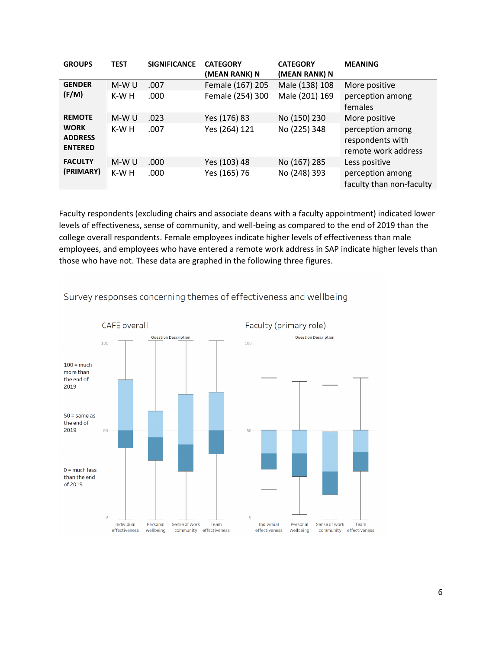| <b>GROUPS</b>                                                    | <b>TEST</b>     | <b>SIGNIFICANCE</b> | <b>CATEGORY</b><br>(MEAN RANK) N     | <b>CATEGORY</b><br>(MEAN RANK) N | <b>MEANING</b>                                                               |
|------------------------------------------------------------------|-----------------|---------------------|--------------------------------------|----------------------------------|------------------------------------------------------------------------------|
| <b>GENDER</b><br>(F/M)                                           | M-W U<br>K-W H  | .007<br>.000        | Female (167) 205<br>Female (254) 300 | Male (138) 108<br>Male (201) 169 | More positive<br>perception among<br>females                                 |
| <b>REMOTE</b><br><b>WORK</b><br><b>ADDRESS</b><br><b>ENTERED</b> | $M-WU$<br>K-W H | .023<br>.007        | Yes (176) 83<br>Yes (264) 121        | No (150) 230<br>No (225) 348     | More positive<br>perception among<br>respondents with<br>remote work address |
| <b>FACULTY</b><br>(PRIMARY)                                      | $M-WU$<br>K-W H | .000<br>.000        | Yes (103) 48<br>Yes (165) 76         | No (167) 285<br>No (248) 393     | Less positive<br>perception among<br>faculty than non-faculty                |

Faculty respondents (excluding chairs and associate deans with a faculty appointment) indicated lower levels of effectiveness, sense of community, and well-being as compared to the end of 2019 than the college overall respondents. Female employees indicate higher levels of effectiveness than male employees, and employees who have entered a remote work address in SAP indicate higher levels than those who have not. These data are graphed in the following three figures.



Survey responses concerning themes of effectiveness and wellbeing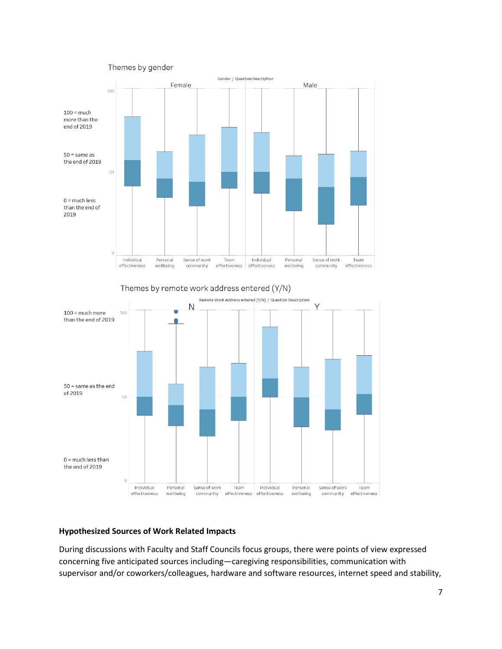



### **Hypothesized Sources of Work Related Impacts**

During discussions with Faculty and Staff Councils focus groups, there were points of view expressed concerning five anticipated sources including—caregiving responsibilities, communication with supervisor and/or coworkers/colleagues, hardware and software resources, internet speed and stability,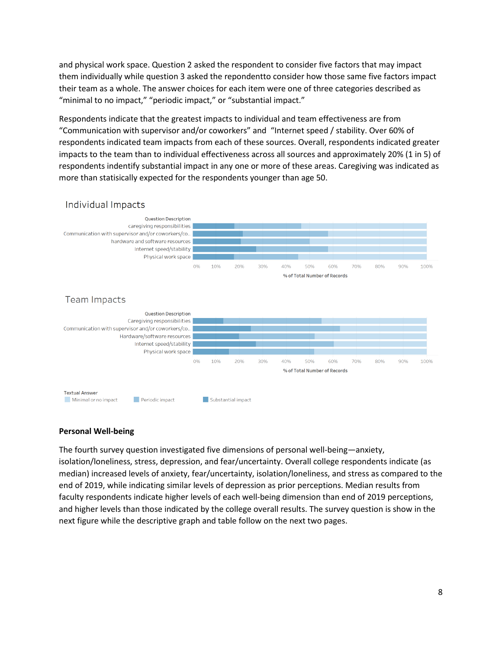and physical work space. Question 2 asked the respondent to consider five factors that may impact them individually while question 3 asked the repondentto consider how those same five factors impact their team as a whole. The answer choices for each item were one of three categories described as "minimal to no impact," "periodic impact," or "substantial impact."

Respondents indicate that the greatest impacts to individual and team effectiveness are from "Communication with supervisor and/or coworkers" and "Internet speed / stability. Over 60% of respondents indicated team impacts from each of these sources. Overall, respondents indicated greater impacts to the team than to individual effectiveness across all sources and approximately 20% (1 in 5) of respondents indentify substantial impact in any one or more of these areas. Caregiving was indicated as more than statisically expected for the respondents younger than age 50.



### Individual Impacts

#### **Personal Well-being**

The fourth survey question investigated five dimensions of personal well-being—anxiety, isolation/loneliness, stress, depression, and fear/uncertainty. Overall college respondents indicate (as median) increased levels of anxiety, fear/uncertainty, isolation/loneliness, and stress as compared to the end of 2019, while indicating similar levels of depression as prior perceptions. Median results from faculty respondents indicate higher levels of each well-being dimension than end of 2019 perceptions, and higher levels than those indicated by the college overall results. The survey question is show in the next figure while the descriptive graph and table follow on the next two pages.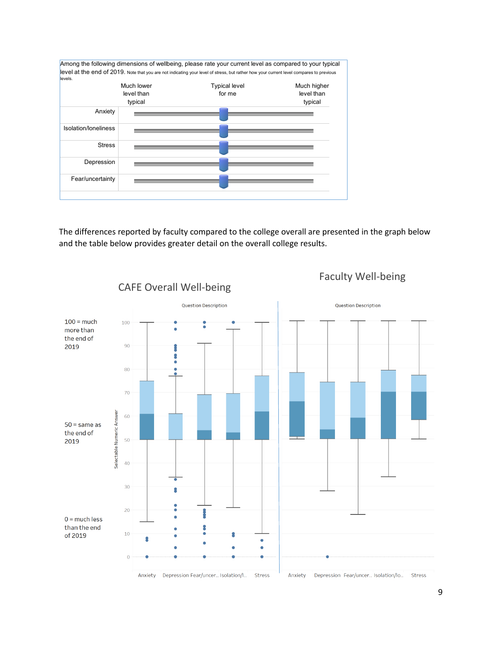

The differences reported by faculty compared to the college overall are presented in the graph below and the table below provides greater detail on the overall college results.



Faculty Well-being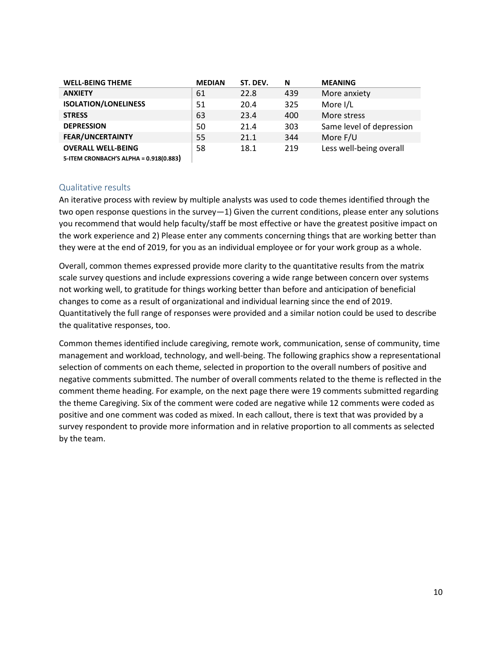| <b>WELL-BEING THEME</b>     | <b>MEDIAN</b> | ST. DEV. | N   | <b>MEANING</b>           |
|-----------------------------|---------------|----------|-----|--------------------------|
| <b>ANXIETY</b>              | 61            | 22.8     | 439 | More anxiety             |
| <b>ISOLATION/LONELINESS</b> | 51            | 20.4     | 325 | More I/L                 |
| <b>STRESS</b>               | 63            | 23.4     | 400 | More stress              |
| <b>DEPRESSION</b>           | 50            | 21.4     | 303 | Same level of depression |
| <b>FEAR/UNCERTAINTY</b>     | 55            | 21.1     | 344 | More F/U                 |
| <b>OVERALL WELL-BEING</b>   | 58            | 18.1     | 219 | Less well-being overall  |
|                             |               |          |     |                          |

**5-ITEM CRONBACH'S ALPHA = 0.918(0.883)**

### Qualitative results

An iterative process with review by multiple analysts was used to code themes identified through the two open response questions in the survey—1) Given the current conditions, please enter any solutions you recommend that would help faculty/staff be most effective or have the greatest positive impact on the work experience and 2) Please enter any comments concerning things that are working better than they were at the end of 2019, for you as an individual employee or for your work group as a whole.

Overall, common themes expressed provide more clarity to the quantitative results from the matrix scale survey questions and include expressions covering a wide range between concern over systems not working well, to gratitude for things working better than before and anticipation of beneficial changes to come as a result of organizational and individual learning since the end of 2019. Quantitatively the full range of responses were provided and a similar notion could be used to describe the qualitative responses, too.

Common themes identified include caregiving, remote work, communication, sense of community, time management and workload, technology, and well-being. The following graphics show a representational selection of comments on each theme, selected in proportion to the overall numbers of positive and negative comments submitted. The number of overall comments related to the theme is reflected in the comment theme heading. For example, on the next page there were 19 comments submitted regarding the theme Caregiving. Six of the comment were coded are negative while 12 comments were coded as positive and one comment was coded as mixed. In each callout, there is text that was provided by a survey respondent to provide more information and in relative proportion to all comments as selected by the team.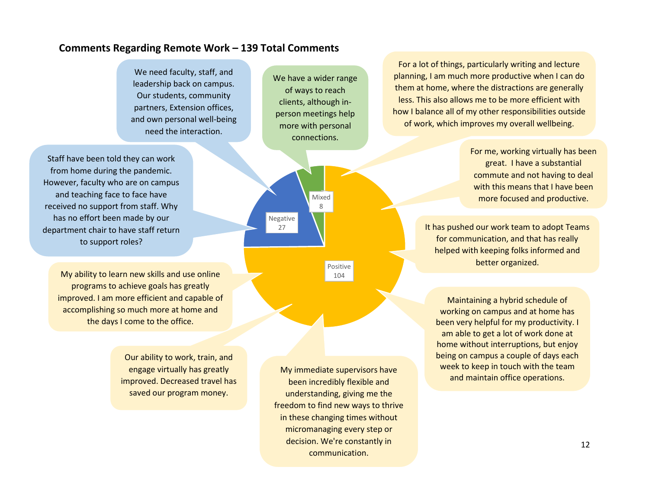# **Comments Regarding Remote Work – 139 Total Comments**

We need faculty, staff, and leadership back on campus. Our students, community partners, Extension offices, and own personal well-being need the interaction.

Staff have been told they can work from home during the pandemic. However, faculty who are on campus and teaching face to face have received no support from staff. Why has no effort been made by our department chair to have staff return to support roles?

> My ability to learn new skills and use online programs to achieve goals has greatly improved. I am more efficient and capable of accomplishing so much more at home and the days I come to the office.

> > Our ability to work, train, and engage virtually has greatly improved. Decreased travel has saved our program money.

We have a wider range of ways to reach clients, although inperson meetings help more with personal connections.



been incredibly flexible and understanding, giving me the freedom to find new ways to thrive in these changing times without micromanaging every step or decision. We're constantly in communication.

For a lot of things, particularly writing and lecture planning, I am much more productive when I can do them at home, where the distractions are generally less. This also allows me to be more efficient with how I balance all of my other responsibilities outside of work, which improves my overall wellbeing.

> For me, working virtually has been great. I have a substantial commute and not having to deal with this means that I have been more focused and productive.

It has pushed our work team to adopt Teams for communication, and that has really helped with keeping folks informed and better organized.

Maintaining a hybrid schedule of working on campus and at home has been very helpful for my productivity. I am able to get a lot of work done at home without interruptions, but enjoy being on campus a couple of days each week to keep in touch with the team My immediate supervisors have maintain office operations.<br>. and maintain office operations.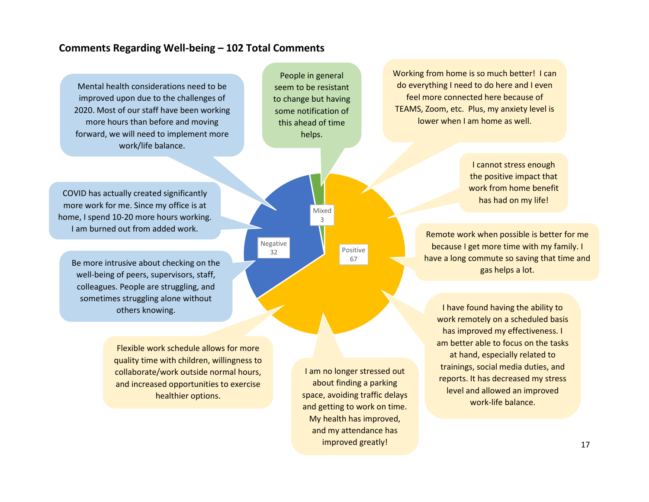# **Comments Regarding Well-being – 102 Total Comments**

Mental health considerations need to be improved upon due to the challenges of 2020. Most of our staff have been working more hours than before and moving forward, we will need to implement more work/life balance.

People in general seem to be resistant to change but having some notification of this ahead of time helps.

> Mixed 3

Negative 32

Working from home is so much better! I can do everything I need to do here and I even feel more connected here because of TEAMS, Zoom, etc. Plus, my anxiety level is lower when I am home as well.

> I cannot stress enough the positive impact that work from home benefit has had on my life!

Remote work when possible is better for me because I get more time with my family. I have a long commute so saving that time and gas helps a lot.

I have found having the ability to work remotely on a scheduled basis has improved my effectiveness. I am better able to focus on the tasks at hand, especially related to trainings, social media duties, and reports. It has decreased my stress level and allowed an improved work-life balance.

COVID has actually created significantly more work for me. Since my office is at home, I spend 10-20 more hours working. I am burned out from added work.

Be more intrusive about checking on the well-being of peers, supervisors, staff, colleagues. People are struggling, and sometimes struggling alone without others knowing.

> Flexible work schedule allows for more quality time with children, willingness to collaborate/work outside normal hours, and increased opportunities to exercise healthier options.

I am no longer stressed out about finding a parking space, avoiding traffic delays and getting to work on time. My health has improved, and my attendance has improved greatly!

Positive 67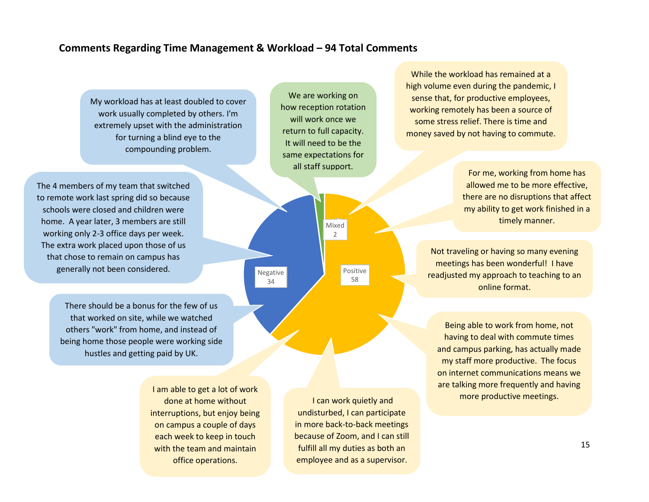# **Comments Regarding Time Management & Workload – 94 Total Comments**

Negative 34

My workload has at least doubled to cover work usually completed by others. I'm extremely upset with the administration for turning a blind eye to the compounding problem.

The 4 members of my team that switched to remote work last spring did so because schools were closed and children were home. A year later, 3 members are still working only 2-3 office days per week. The extra work placed upon those of us that chose to remain on campus has generally not been considered.

> There should be a bonus for the few of us that worked on site, while we watched others "work" from home, and instead of being home those people were working side hustles and getting paid by UK.

> > I am able to get a lot of work done at home without interruptions, but enjoy being on campus a couple of days each week to keep in touch with the team and maintain office operations.

more productive meetings. I can work quietly and undisturbed, I can participate in more back-to-back meetings because of Zoom, and I can still

fulfill all my duties as both an employee and as a supervisor.

Positive 58

Mixed  $\mathfrak{D}$ 

We are working on how reception rotation will work once we return to full capacity. It will need to be the same expectations for all staff support.

While the workload has remained at a high volume even during the pandemic, I sense that, for productive employees, working remotely has been a source of some stress relief. There is time and money saved by not having to commute.

> For me, working from home has allowed me to be more effective, there are no disruptions that affect my ability to get work finished in a timely manner.

Not traveling or having so many evening meetings has been wonderful! I have readjusted my approach to teaching to an online format.

Being able to work from home, not having to deal with commute times and campus parking, has actually made my staff more productive. The focus on internet communications means we are talking more frequently and having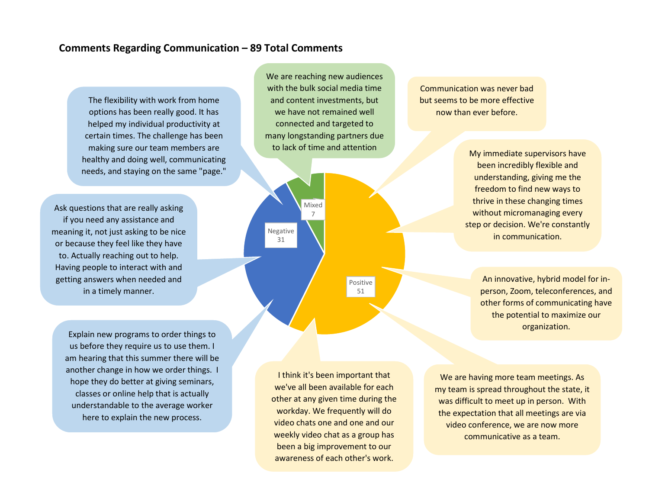# **Comments Regarding Communication – 89 Total Comments**

The flexibility with work from home options has been really good. It has helped my individual productivity at certain times. The challenge has been making sure our team members are healthy and doing well, communicating needs, and staying on the same "page."

Ask questions that are really asking if you need any assistance and meaning it, not just asking to be nice or because they feel like they have to. Actually reaching out to help. Having people to interact with and getting answers when needed and in a timely manner.

Explain new programs to order things to us before they require us to use them. I am hearing that this summer there will be another change in how we order things. I hope they do better at giving seminars, classes or online help that is actually understandable to the average worker here to explain the new process.

We are reaching new audiences with the bulk social media time and content investments, but we have not remained well connected and targeted to many longstanding partners due to lack of time and attention



Communication was never bad but seems to be more effective now than ever before.

> My immediate supervisors have been incredibly flexible and understanding, giving me the freedom to find new ways to thrive in these changing times without micromanaging every step or decision. We're constantly in communication.

> > An innovative, hybrid model for inperson, Zoom, teleconferences, and other forms of communicating have the potential to maximize our organization.

I think it's been important that we've all been available for each other at any given time during the workday. We frequently will do video chats one and one and our weekly video chat as a group has been a big improvement to our awareness of each other's work.

We are having more team meetings. As my team is spread throughout the state, it was difficult to meet up in person. With the expectation that all meetings are via video conference, we are now more communicative as a team.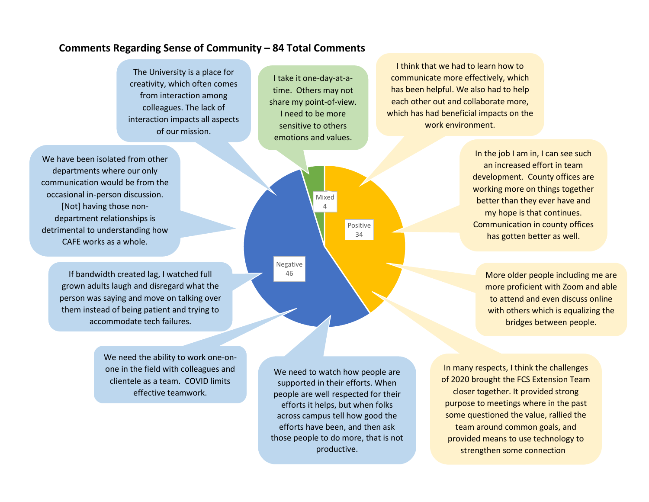# **Comments Regarding Sense of Community – 84 Total Comments**

The University is a place for creativity, which often comes from interaction among colleagues. The lack of interaction impacts all aspects of our mission.

I take it one-day-at-atime. Others may not share my point-of-view. I need to be more sensitive to others emotions and values.

> Mixed 4

Negative 46

I think that we had to learn how to communicate more effectively, which has been helpful. We also had to help each other out and collaborate more, which has had beneficial impacts on the work environment.

> In the job I am in, I can see such an increased effort in team development. County offices are working more on things together better than they ever have and my hope is that continues. Communication in county offices has gotten better as well.

More older people including me are more proficient with Zoom and able to attend and even discuss online with others which is equalizing the bridges between people.

We need the ability to work one-onone in the field with colleagues and clientele as a team. COVID limits

effective teamwork.

We need to watch how people are supported in their efforts. When people are well respected for their efforts it helps, but when folks across campus tell how good the efforts have been, and then ask those people to do more, that is not productive.

Positive 34

> provided means to use technology to<br>extremation come connection In many respects, I think the challenges of 2020 brought the FCS Extension Team closer together. It provided strong purpose to meetings where in the past some questioned the value, rallied the team around common goals, and strengthen some connection

We have been isolated from other departments where our only communication would be from the occasional in-person discussion. [Not] having those nondepartment relationships is detrimental to understanding how CAFE works as a whole.

> If bandwidth created lag, I watched full grown adults laugh and disregard what the person was saying and move on talking over them instead of being patient and trying to accommodate tech failures.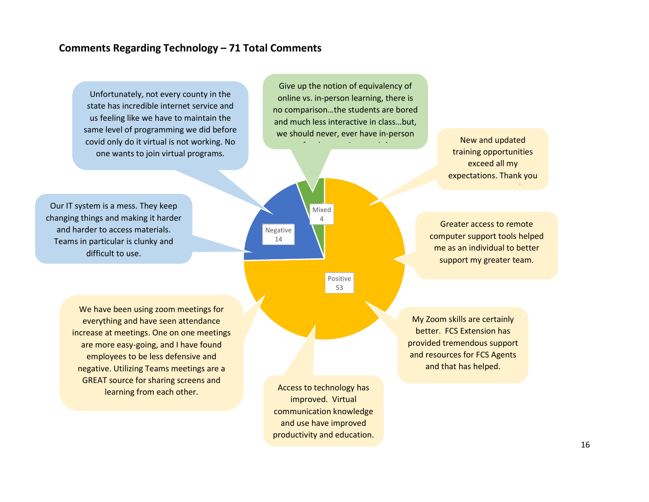# **Comments Regarding Technology – 71 Total Comments**

Unfortunately, not every county in the state has incredible internet service and us feeling like we have to maintain the same level of programming we did before covid only do it virtual is not working. No one wants to join virtual programs.

Our IT system is a mess. They keep changing things and making it harder and harder to access materials. Teams in particular is clunky and difficult to use.

Give up the notion of equivalency of online vs. in-person learning, there is no comparison…the students are bored and much less interactive in class…but, we should never, ever have in-person



New and updated training opportunities exceed all my expectations. Thank you

!

Greater access to remote computer support tools helped me as an individual to better support my greater team.

We have been using zoom meetings for everything and have seen attendance increase at meetings. One on one meetings are more easy-going, and I have found employees to be less defensive and negative. Utilizing Teams meetings are a GREAT source for sharing screens and learning from each other.

Access to technology has improved. Virtual communication knowledge and use have improved productivity and education.

My Zoom skills are certainly better. FCS Extension has provided tremendous support and resources for FCS Agents and that has helped.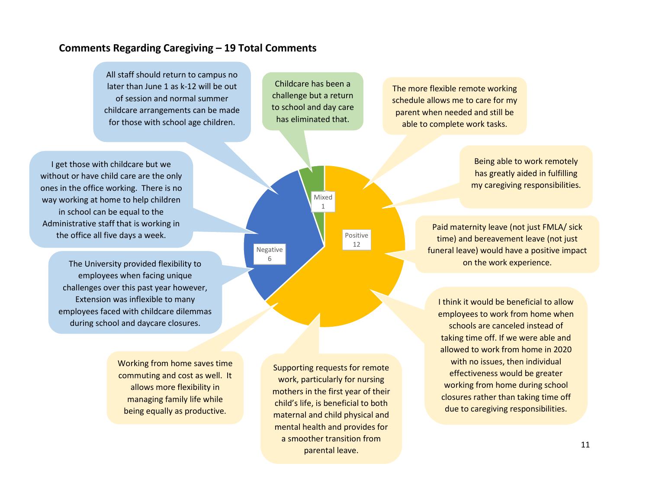# **Comments Regarding Caregiving – 19 Total Comments**

All staff should return to campus no later than June 1 as k-12 will be out of session and normal summer childcare arrangements can be made for those with school age children.

Childcare has been a challenge but a return to school and day care has eliminated that.

> Mixed 1

parental leave.

Negative 6

Positive 12

The more flexible remote working schedule allows me to care for my parent when needed and still be able to complete work tasks.

I get those with childcare but we without or have child care are the only ones in the office working. There is no way working at home to help children in school can be equal to the Administrative staff that is working in the office all five days a week.

> The University provided flexibility to employees when facing unique challenges over this past year however, Extension was inflexible to many employees faced with childcare dilemmas during school and daycare closures.

> > Working from home saves time commuting and cost as well. It allows more flexibility in managing family life while being equally as productive.

my caregiving responsibilities. Paid maternity leave (not just FMLA/ sick time) and bereavement leave (not just funeral leave) would have a positive impact on the work experience.

> I think it would be beneficial to allow employees to work from home when schools are canceled instead of taking time off. If we were able and allowed to work from home in 2020 with no issues, then individual effectiveness would be greater working from home during school closures rather than taking time off due to caregiving responsibilities.

Being able to work remotely has greatly aided in fulfilling

Supporting requests for remote work, particularly for nursing mothers in the first year of their child's life, is beneficial to both maternal and child physical and mental health and provides for a smoother transition from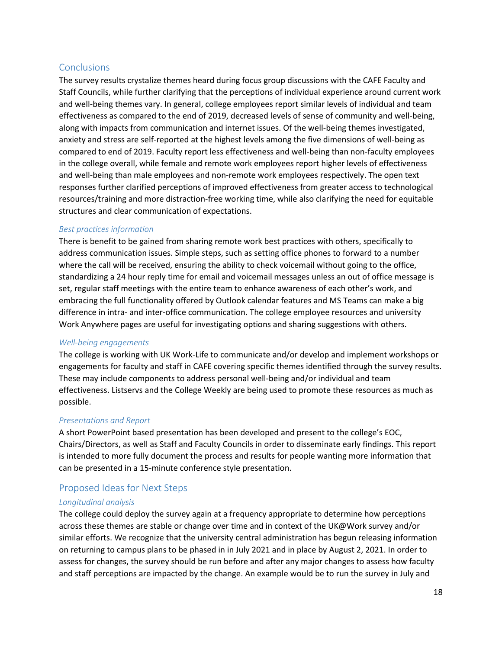# **Conclusions**

The survey results crystalize themes heard during focus group discussions with the CAFE Faculty and Staff Councils, while further clarifying that the perceptions of individual experience around current work and well-being themes vary. In general, college employees report similar levels of individual and team effectiveness as compared to the end of 2019, decreased levels of sense of community and well-being, along with impacts from communication and internet issues. Of the well-being themes investigated, anxiety and stress are self-reported at the highest levels among the five dimensions of well-being as compared to end of 2019. Faculty report less effectiveness and well-being than non-faculty employees in the college overall, while female and remote work employees report higher levels of effectiveness and well-being than male employees and non-remote work employees respectively. The open text responses further clarified perceptions of improved effectiveness from greater access to technological resources/training and more distraction-free working time, while also clarifying the need for equitable structures and clear communication of expectations.

### *Best practices information*

There is benefit to be gained from sharing remote work best practices with others, specifically to address communication issues. Simple steps, such as setting office phones to forward to a number where the call will be received, ensuring the ability to check voicemail without going to the office, standardizing a 24 hour reply time for email and voicemail messages unless an out of office message is set, regular staff meetings with the entire team to enhance awareness of each other's work, and embracing the full functionality offered by Outlook calendar features and MS Teams can make a big difference in intra- and inter-office communication. The college employee resources and university Work Anywhere pages are useful for investigating options and sharing suggestions with others.

### *Well-being engagements*

The college is working with UK Work-Life to communicate and/or develop and implement workshops or engagements for faculty and staff in CAFE covering specific themes identified through the survey results. These may include components to address personal well-being and/or individual and team effectiveness. Listservs and the College Weekly are being used to promote these resources as much as possible.

### *Presentations and Report*

A short PowerPoint based presentation has been developed and present to the college's EOC, Chairs/Directors, as well as Staff and Faculty Councils in order to disseminate early findings. This report is intended to more fully document the process and results for people wanting more information that can be presented in a 15-minute conference style presentation.

### Proposed Ideas for Next Steps

### *Longitudinal analysis*

The college could deploy the survey again at a frequency appropriate to determine how perceptions across these themes are stable or change over time and in context of the UK@Work survey and/or similar efforts. We recognize that the university central administration has begun releasing information on returning to campus plans to be phased in in July 2021 and in place by August 2, 2021. In order to assess for changes, the survey should be run before and after any major changes to assess how faculty and staff perceptions are impacted by the change. An example would be to run the survey in July and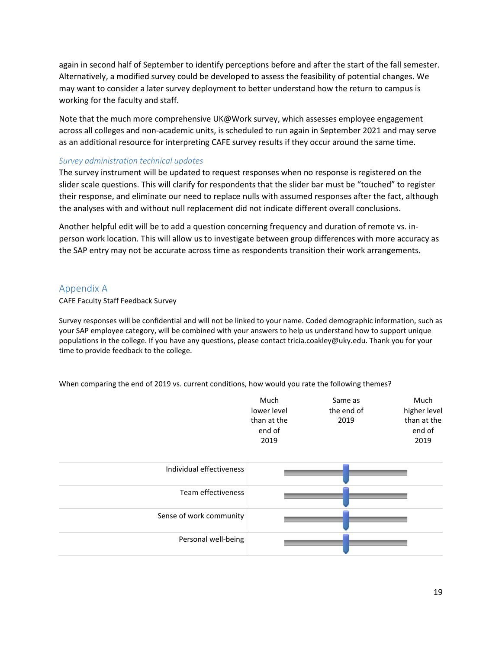again in second half of September to identify perceptions before and after the start of the fall semester. Alternatively, a modified survey could be developed to assess the feasibility of potential changes. We may want to consider a later survey deployment to better understand how the return to campus is working for the faculty and staff.

Note that the much more comprehensive UK@Work survey, which assesses employee engagement across all colleges and non-academic units, is scheduled to run again in September 2021 and may serve as an additional resource for interpreting CAFE survey results if they occur around the same time.

### *Survey administration technical updates*

The survey instrument will be updated to request responses when no response is registered on the slider scale questions. This will clarify for respondents that the slider bar must be "touched" to register their response, and eliminate our need to replace nulls with assumed responses after the fact, although the analyses with and without null replacement did not indicate different overall conclusions.

Another helpful edit will be to add a question concerning frequency and duration of remote vs. inperson work location. This will allow us to investigate between group differences with more accuracy as the SAP entry may not be accurate across time as respondents transition their work arrangements.

### Appendix A

CAFE Faculty Staff Feedback Survey

Survey responses will be confidential and will not be linked to your name. Coded demographic information, such as your SAP employee category, will be combined with your answers to help us understand how to support unique populations in the college. If you have any questions, please contact tricia.coakley@uky.edu. Thank you for your time to provide feedback to the college.

When comparing the end of 2019 vs. current conditions, how would you rate the following themes?

| Much        | Same as    | Much         |
|-------------|------------|--------------|
| lower level | the end of | higher level |
| than at the | 2019       | than at the  |
| end of      |            | end of       |
| 2019        |            | 2019         |

| Individual effectiveness |  |
|--------------------------|--|
| Team effectiveness       |  |
| Sense of work community  |  |
| Personal well-being      |  |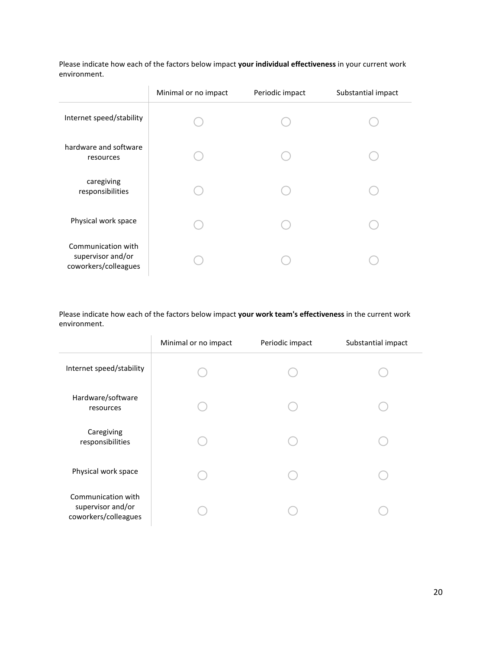|                                                                 | Minimal or no impact | Periodic impact | Substantial impact |
|-----------------------------------------------------------------|----------------------|-----------------|--------------------|
| Internet speed/stability                                        |                      |                 |                    |
| hardware and software<br>resources                              |                      |                 |                    |
| caregiving<br>responsibilities                                  |                      |                 |                    |
| Physical work space                                             |                      |                 |                    |
| Communication with<br>supervisor and/or<br>coworkers/colleagues |                      |                 |                    |

Please indicate how each of the factors below impact **your individual effectiveness** in your current work environment.

Please indicate how each of the factors below impact **your work team's effectiveness** in the current work environment.

|                                                                 | Minimal or no impact | Periodic impact | Substantial impact |
|-----------------------------------------------------------------|----------------------|-----------------|--------------------|
| Internet speed/stability                                        |                      |                 |                    |
| Hardware/software<br>resources                                  |                      |                 |                    |
| Caregiving<br>responsibilities                                  |                      |                 |                    |
| Physical work space                                             |                      |                 |                    |
| Communication with<br>supervisor and/or<br>coworkers/colleagues |                      |                 |                    |